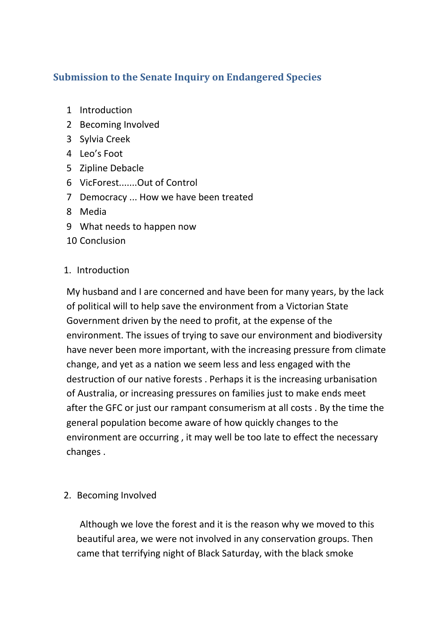# **Submission to the Senate Inquiry on Endangered Species**

- 1 Introduction
- 2 Becoming Involved
- 3 Sylvia Creek
- 4 Leo's Foot
- 5 Zipline Debacle
- 6 VicForest.......Out of Control
- 7 Democracy ... How we have been treated
- 8 Media
- 9 What needs to happen now
- 10 Conclusion

## 1. Introduction

My husband and I are concerned and have been for many years, by the lack of political will to help save the environment from a Victorian State Government driven by the need to profit, at the expense of the environment. The issues of trying to save our environment and biodiversity have never been more important, with the increasing pressure from climate change, and yet as a nation we seem less and less engaged with the destruction of our native forests . Perhaps it is the increasing urbanisation of Australia, or increasing pressures on families just to make ends meet after the GFC or just our rampant consumerism at all costs . By the time the general population become aware of how quickly changes to the environment are occurring , it may well be too late to effect the necessary changes .

## 2. Becoming Involved

Although we love the forest and it is the reason why we moved to this beautiful area, we were not involved in any conservation groups. Then came that terrifying night of Black Saturday, with the black smoke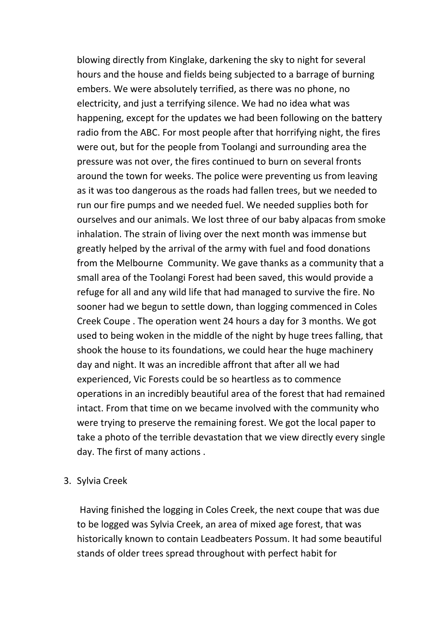blowing directly from Kinglake, darkening the sky to night for several hours and the house and fields being subjected to a barrage of burning embers. We were absolutely terrified, as there was no phone, no electricity, and just a terrifying silence. We had no idea what was happening, except for the updates we had been following on the battery radio from the ABC. For most people after that horrifying night, the fires were out, but for the people from Toolangi and surrounding area the pressure was not over, the fires continued to burn on several fronts around the town for weeks. The police were preventing us from leaving as it was too dangerous as the roads had fallen trees, but we needed to run our fire pumps and we needed fuel. We needed supplies both for ourselves and our animals. We lost three of our baby alpacas from smoke inhalation. The strain of living over the next month was immense but greatly helped by the arrival of the army with fuel and food donations from the Melbourne Community. We gave thanks as a community that a small area of the Toolangi Forest had been saved, this would provide a refuge for all and any wild life that had managed to survive the fire. No sooner had we begun to settle down, than logging commenced in Coles Creek Coupe . The operation went 24 hours a day for 3 months. We got used to being woken in the middle of the night by huge trees falling, that shook the house to its foundations, we could hear the huge machinery day and night. It was an incredible affront that after all we had experienced, Vic Forests could be so heartless as to commence operations in an incredibly beautiful area of the forest that had remained intact. From that time on we became involved with the community who were trying to preserve the remaining forest. We got the local paper to take a photo of the terrible devastation that we view directly every single day. The first of many actions .

#### 3. Sylvia Creek

Having finished the logging in Coles Creek, the next coupe that was due to be logged was Sylvia Creek, an area of mixed age forest, that was historically known to contain Leadbeaters Possum. It had some beautiful stands of older trees spread throughout with perfect habit for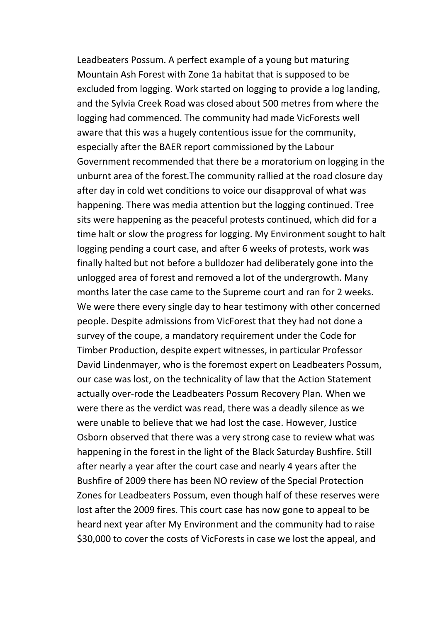Leadbeaters Possum. A perfect example of a young but maturing Mountain Ash Forest with Zone 1a habitat that is supposed to be excluded from logging. Work started on logging to provide a log landing, and the Sylvia Creek Road was closed about 500 metres from where the logging had commenced. The community had made VicForests well aware that this was a hugely contentious issue for the community, especially after the BAER report commissioned by the Labour Government recommended that there be a moratorium on logging in the unburnt area of the forest.The community rallied at the road closure day after day in cold wet conditions to voice our disapproval of what was happening. There was media attention but the logging continued. Tree sits were happening as the peaceful protests continued, which did for a time halt or slow the progress for logging. My Environment sought to halt logging pending a court case, and after 6 weeks of protests, work was finally halted but not before a bulldozer had deliberately gone into the unlogged area of forest and removed a lot of the undergrowth. Many months later the case came to the Supreme court and ran for 2 weeks. We were there every single day to hear testimony with other concerned people. Despite admissions from VicForest that they had not done a survey of the coupe, a mandatory requirement under the Code for Timber Production, despite expert witnesses, in particular Professor David Lindenmayer, who is the foremost expert on Leadbeaters Possum, our case was lost, on the technicality of law that the Action Statement actually over-rode the Leadbeaters Possum Recovery Plan. When we were there as the verdict was read, there was a deadly silence as we were unable to believe that we had lost the case. However, Justice Osborn observed that there was a very strong case to review what was happening in the forest in the light of the Black Saturday Bushfire. Still after nearly a year after the court case and nearly 4 years after the Bushfire of 2009 there has been NO review of the Special Protection Zones for Leadbeaters Possum, even though half of these reserves were lost after the 2009 fires. This court case has now gone to appeal to be heard next year after My Environment and the community had to raise \$30,000 to cover the costs of VicForests in case we lost the appeal, and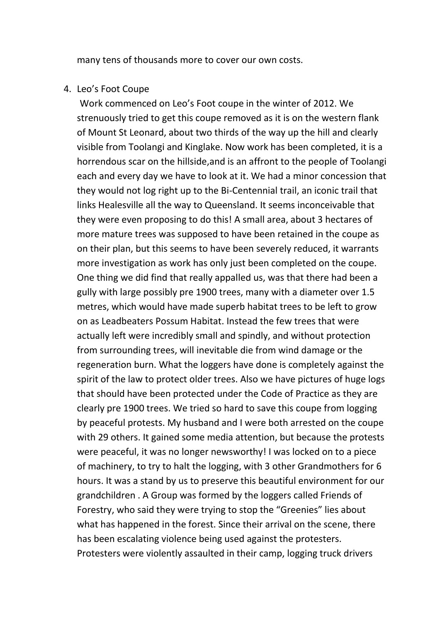many tens of thousands more to cover our own costs.

#### 4. Leo's Foot Coupe

Work commenced on Leo's Foot coupe in the winter of 2012. We strenuously tried to get this coupe removed as it is on the western flank of Mount St Leonard, about two thirds of the way up the hill and clearly visible from Toolangi and Kinglake. Now work has been completed, it is a horrendous scar on the hillside,and is an affront to the people of Toolangi each and every day we have to look at it. We had a minor concession that they would not log right up to the Bi-Centennial trail, an iconic trail that links Healesville all the way to Queensland. It seems inconceivable that they were even proposing to do this! A small area, about 3 hectares of more mature trees was supposed to have been retained in the coupe as on their plan, but this seems to have been severely reduced, it warrants more investigation as work has only just been completed on the coupe. One thing we did find that really appalled us, was that there had been a gully with large possibly pre 1900 trees, many with a diameter over 1.5 metres, which would have made superb habitat trees to be left to grow on as Leadbeaters Possum Habitat. Instead the few trees that were actually left were incredibly small and spindly, and without protection from surrounding trees, will inevitable die from wind damage or the regeneration burn. What the loggers have done is completely against the spirit of the law to protect older trees. Also we have pictures of huge logs that should have been protected under the Code of Practice as they are clearly pre 1900 trees. We tried so hard to save this coupe from logging by peaceful protests. My husband and I were both arrested on the coupe with 29 others. It gained some media attention, but because the protests were peaceful, it was no longer newsworthy! I was locked on to a piece of machinery, to try to halt the logging, with 3 other Grandmothers for 6 hours. It was a stand by us to preserve this beautiful environment for our grandchildren . A Group was formed by the loggers called Friends of Forestry, who said they were trying to stop the "Greenies" lies about what has happened in the forest. Since their arrival on the scene, there has been escalating violence being used against the protesters. Protesters were violently assaulted in their camp, logging truck drivers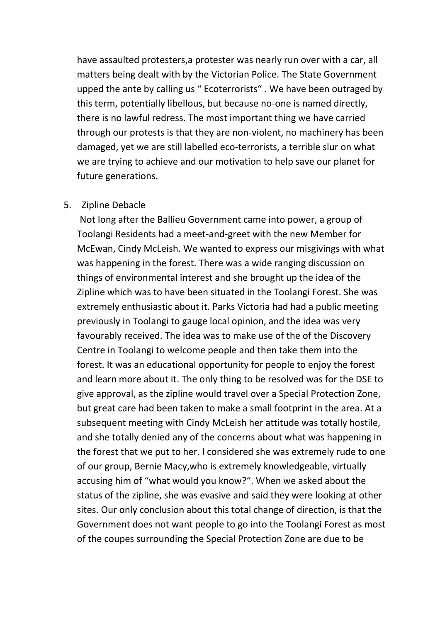have assaulted protesters,a protester was nearly run over with a car, all matters being dealt with by the Victorian Police. The State Government upped the ante by calling us " Ecoterrorists" . We have been outraged by this term, potentially libellous, but because no-one is named directly, there is no lawful redress. The most important thing we have carried through our protests is that they are non-violent, no machinery has been damaged, yet we are still labelled eco-terrorists, a terrible slur on what we are trying to achieve and our motivation to help save our planet for future generations.

#### 5. Zipline Debacle

Not long after the Ballieu Government came into power, a group of Toolangi Residents had a meet-and-greet with the new Member for McEwan, Cindy McLeish. We wanted to express our misgivings with what was happening in the forest. There was a wide ranging discussion on things of environmental interest and she brought up the idea of the Zipline which was to have been situated in the Toolangi Forest. She was extremely enthusiastic about it. Parks Victoria had had a public meeting previously in Toolangi to gauge local opinion, and the idea was very favourably received. The idea was to make use of the of the Discovery Centre in Toolangi to welcome people and then take them into the forest. It was an educational opportunity for people to enjoy the forest and learn more about it. The only thing to be resolved was for the DSE to give approval, as the zipline would travel over a Special Protection Zone, but great care had been taken to make a small footprint in the area. At a subsequent meeting with Cindy McLeish her attitude was totally hostile, and she totally denied any of the concerns about what was happening in the forest that we put to her. I considered she was extremely rude to one of our group, Bernie Macy,who is extremely knowledgeable, virtually accusing him of "what would you know?". When we asked about the status of the zipline, she was evasive and said they were looking at other sites. Our only conclusion about this total change of direction, is that the Government does not want people to go into the Toolangi Forest as most of the coupes surrounding the Special Protection Zone are due to be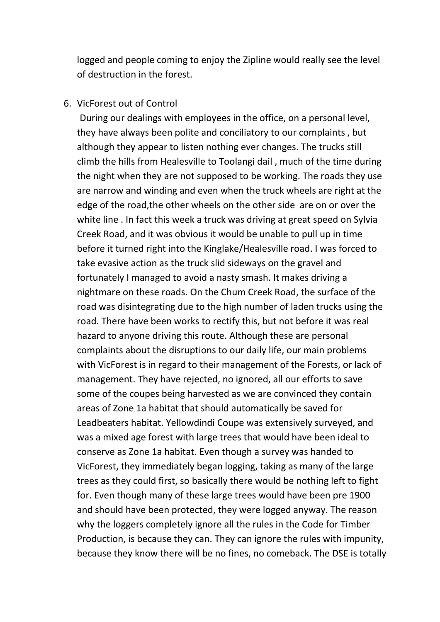logged and people coming to enjoy the Zipline would really see the level of destruction in the forest.

### 6. VicForest out of Control

During our dealings with employees in the office, on a personal level, they have always been polite and conciliatory to our complaints , but although they appear to listen nothing ever changes. The trucks still climb the hills from Healesville to Toolangi dail , much of the time during the night when they are not supposed to be working. The roads they use are narrow and winding and even when the truck wheels are right at the edge of the road,the other wheels on the other side are on or over the white line . In fact this week a truck was driving at great speed on Sylvia Creek Road, and it was obvious it would be unable to pull up in time before it turned right into the Kinglake/Healesville road. I was forced to take evasive action as the truck slid sideways on the gravel and fortunately I managed to avoid a nasty smash. It makes driving a nightmare on these roads. On the Chum Creek Road, the surface of the road was disintegrating due to the high number of laden trucks using the road. There have been works to rectify this, but not before it was real hazard to anyone driving this route. Although these are personal complaints about the disruptions to our daily life, our main problems with VicForest is in regard to their management of the Forests, or lack of management. They have rejected, no ignored, all our efforts to save some of the coupes being harvested as we are convinced they contain areas of Zone 1a habitat that should automatically be saved for Leadbeaters habitat. Yellowdindi Coupe was extensively surveyed, and was a mixed age forest with large trees that would have been ideal to conserve as Zone 1a habitat. Even though a survey was handed to VicForest, they immediately began logging, taking as many of the large trees as they could first, so basically there would be nothing left to fight for. Even though many of these large trees would have been pre 1900 and should have been protected, they were logged anyway. The reason why the loggers completely ignore all the rules in the Code for Timber Production, is because they can. They can ignore the rules with impunity, because they know there will be no fines, no comeback. The DSE is totally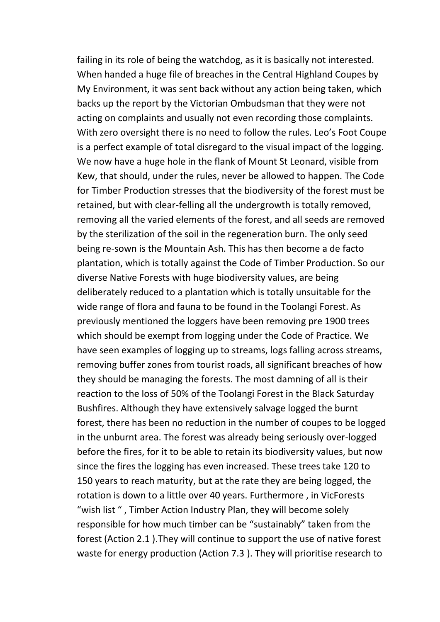failing in its role of being the watchdog, as it is basically not interested. When handed a huge file of breaches in the Central Highland Coupes by My Environment, it was sent back without any action being taken, which backs up the report by the Victorian Ombudsman that they were not acting on complaints and usually not even recording those complaints. With zero oversight there is no need to follow the rules. Leo's Foot Coupe is a perfect example of total disregard to the visual impact of the logging. We now have a huge hole in the flank of Mount St Leonard, visible from Kew, that should, under the rules, never be allowed to happen. The Code for Timber Production stresses that the biodiversity of the forest must be retained, but with clear-felling all the undergrowth is totally removed, removing all the varied elements of the forest, and all seeds are removed by the sterilization of the soil in the regeneration burn. The only seed being re-sown is the Mountain Ash. This has then become a de facto plantation, which is totally against the Code of Timber Production. So our diverse Native Forests with huge biodiversity values, are being deliberately reduced to a plantation which is totally unsuitable for the wide range of flora and fauna to be found in the Toolangi Forest. As previously mentioned the loggers have been removing pre 1900 trees which should be exempt from logging under the Code of Practice. We have seen examples of logging up to streams, logs falling across streams, removing buffer zones from tourist roads, all significant breaches of how they should be managing the forests. The most damning of all is their reaction to the loss of 50% of the Toolangi Forest in the Black Saturday Bushfires. Although they have extensively salvage logged the burnt forest, there has been no reduction in the number of coupes to be logged in the unburnt area. The forest was already being seriously over-logged before the fires, for it to be able to retain its biodiversity values, but now since the fires the logging has even increased. These trees take 120 to 150 years to reach maturity, but at the rate they are being logged, the rotation is down to a little over 40 years. Furthermore , in VicForests "wish list " , Timber Action Industry Plan, they will become solely responsible for how much timber can be "sustainably" taken from the forest (Action 2.1 ).They will continue to support the use of native forest waste for energy production (Action 7.3 ). They will prioritise research to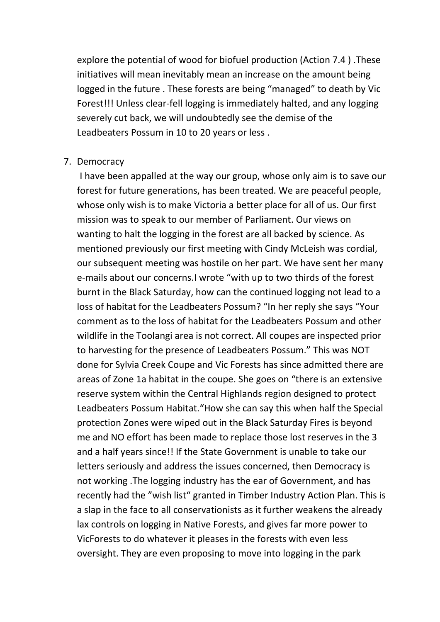explore the potential of wood for biofuel production (Action 7.4 ) .These initiatives will mean inevitably mean an increase on the amount being logged in the future . These forests are being "managed" to death by Vic Forest!!! Unless clear-fell logging is immediately halted, and any logging severely cut back, we will undoubtedly see the demise of the Leadbeaters Possum in 10 to 20 years or less .

#### 7. Democracy

I have been appalled at the way our group, whose only aim is to save our forest for future generations, has been treated. We are peaceful people, whose only wish is to make Victoria a better place for all of us. Our first mission was to speak to our member of Parliament. Our views on wanting to halt the logging in the forest are all backed by science. As mentioned previously our first meeting with Cindy McLeish was cordial, our subsequent meeting was hostile on her part. We have sent her many e-mails about our concerns.I wrote "with up to two thirds of the forest burnt in the Black Saturday, how can the continued logging not lead to a loss of habitat for the Leadbeaters Possum? "In her reply she says "Your comment as to the loss of habitat for the Leadbeaters Possum and other wildlife in the Toolangi area is not correct. All coupes are inspected prior to harvesting for the presence of Leadbeaters Possum." This was NOT done for Sylvia Creek Coupe and Vic Forests has since admitted there are areas of Zone 1a habitat in the coupe. She goes on "there is an extensive reserve system within the Central Highlands region designed to protect Leadbeaters Possum Habitat."How she can say this when half the Special protection Zones were wiped out in the Black Saturday Fires is beyond me and NO effort has been made to replace those lost reserves in the 3 and a half years since!! If the State Government is unable to take our letters seriously and address the issues concerned, then Democracy is not working .The logging industry has the ear of Government, and has recently had the "wish list" granted in Timber Industry Action Plan. This is a slap in the face to all conservationists as it further weakens the already lax controls on logging in Native Forests, and gives far more power to VicForests to do whatever it pleases in the forests with even less oversight. They are even proposing to move into logging in the park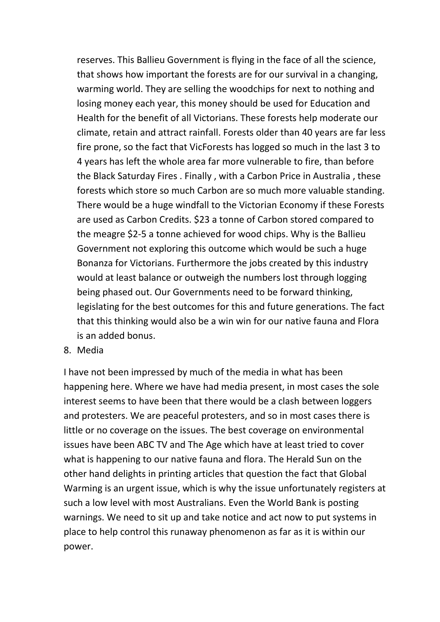reserves. This Ballieu Government is flying in the face of all the science, that shows how important the forests are for our survival in a changing, warming world. They are selling the woodchips for next to nothing and losing money each year, this money should be used for Education and Health for the benefit of all Victorians. These forests help moderate our climate, retain and attract rainfall. Forests older than 40 years are far less fire prone, so the fact that VicForests has logged so much in the last 3 to 4 years has left the whole area far more vulnerable to fire, than before the Black Saturday Fires . Finally , with a Carbon Price in Australia , these forests which store so much Carbon are so much more valuable standing. There would be a huge windfall to the Victorian Economy if these Forests are used as Carbon Credits. \$23 a tonne of Carbon stored compared to the meagre \$2-5 a tonne achieved for wood chips. Why is the Ballieu Government not exploring this outcome which would be such a huge Bonanza for Victorians. Furthermore the jobs created by this industry would at least balance or outweigh the numbers lost through logging being phased out. Our Governments need to be forward thinking, legislating for the best outcomes for this and future generations. The fact that this thinking would also be a win win for our native fauna and Flora is an added bonus.

8. Media

I have not been impressed by much of the media in what has been happening here. Where we have had media present, in most cases the sole interest seems to have been that there would be a clash between loggers and protesters. We are peaceful protesters, and so in most cases there is little or no coverage on the issues. The best coverage on environmental issues have been ABC TV and The Age which have at least tried to cover what is happening to our native fauna and flora. The Herald Sun on the other hand delights in printing articles that question the fact that Global Warming is an urgent issue, which is why the issue unfortunately registers at such a low level with most Australians. Even the World Bank is posting warnings. We need to sit up and take notice and act now to put systems in place to help control this runaway phenomenon as far as it is within our power.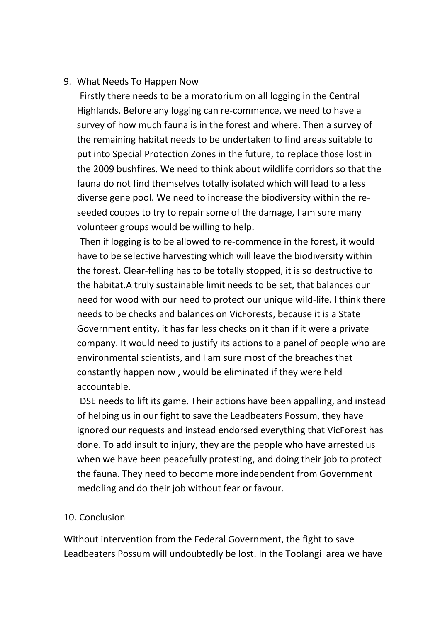## 9. What Needs To Happen Now

Firstly there needs to be a moratorium on all logging in the Central Highlands. Before any logging can re-commence, we need to have a survey of how much fauna is in the forest and where. Then a survey of the remaining habitat needs to be undertaken to find areas suitable to put into Special Protection Zones in the future, to replace those lost in the 2009 bushfires. We need to think about wildlife corridors so that the fauna do not find themselves totally isolated which will lead to a less diverse gene pool. We need to increase the biodiversity within the reseeded coupes to try to repair some of the damage, I am sure many volunteer groups would be willing to help.

Then if logging is to be allowed to re-commence in the forest, it would have to be selective harvesting which will leave the biodiversity within the forest. Clear-felling has to be totally stopped, it is so destructive to the habitat.A truly sustainable limit needs to be set, that balances our need for wood with our need to protect our unique wild-life. I think there needs to be checks and balances on VicForests, because it is a State Government entity, it has far less checks on it than if it were a private company. It would need to justify its actions to a panel of people who are environmental scientists, and I am sure most of the breaches that constantly happen now , would be eliminated if they were held accountable.

DSE needs to lift its game. Their actions have been appalling, and instead of helping us in our fight to save the Leadbeaters Possum, they have ignored our requests and instead endorsed everything that VicForest has done. To add insult to injury, they are the people who have arrested us when we have been peacefully protesting, and doing their job to protect the fauna. They need to become more independent from Government meddling and do their job without fear or favour.

#### 10. Conclusion

Without intervention from the Federal Government, the fight to save Leadbeaters Possum will undoubtedly be lost. In the Toolangi area we have